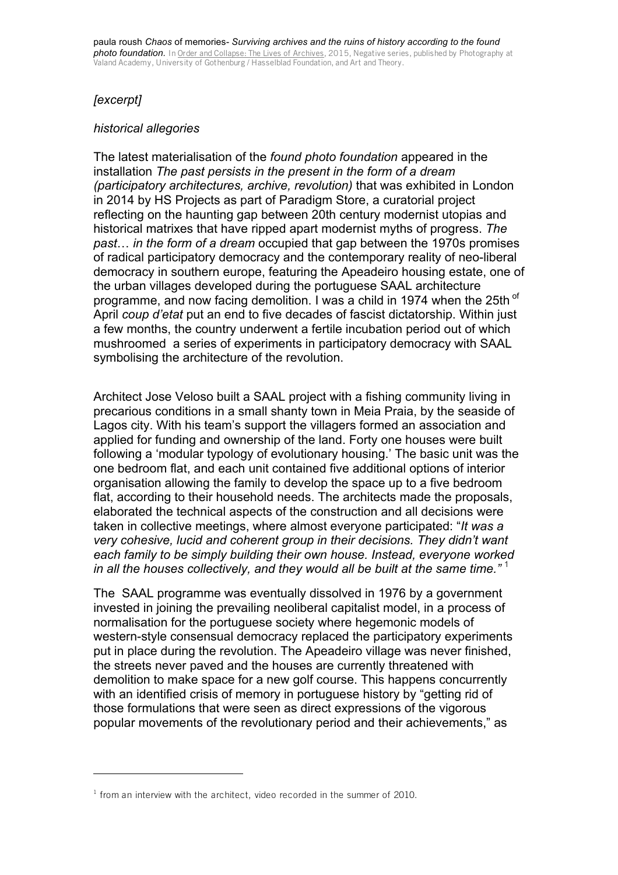## *[excerpt]*

## *historical allegories*

The latest materialisation of the *found photo foundation* appeared in the installation *The past persists in the present in the form of a dream (participatory architectures, archive, revolution)* that was exhibited in London in 2014 by HS Projects as part of Paradigm Store, a curatorial project reflecting on the haunting gap between 20th century modernist utopias and historical matrixes that have ripped apart modernist myths of progress. *The past*… *in the form of a dream* occupied that gap between the 1970s promises of radical participatory democracy and the contemporary reality of neo-liberal democracy in southern europe, featuring the Apeadeiro housing estate, one of the urban villages developed during the portuguese SAAL architecture programme, and now facing demolition. I was a child in 1974 when the 25th of April *coup d'etat* put an end to five decades of fascist dictatorship. Within just a few months, the country underwent a fertile incubation period out of which mushroomed a series of experiments in participatory democracy with SAAL symbolising the architecture of the revolution.

Architect Jose Veloso built a SAAL project with a fishing community living in precarious conditions in a small shanty town in Meia Praia, by the seaside of Lagos city. With his team's support the villagers formed an association and applied for funding and ownership of the land. Forty one houses were built following a 'modular typology of evolutionary housing.' The basic unit was the one bedroom flat, and each unit contained five additional options of interior organisation allowing the family to develop the space up to a five bedroom flat, according to their household needs. The architects made the proposals, elaborated the technical aspects of the construction and all decisions were taken in collective meetings, where almost everyone participated: "*It was a very cohesive, lucid and coherent group in their decisions. They didn't want each family to be simply building their own house. Instead, everyone worked in all the houses collectively, and they would all be built at the same time."* 1

The SAAL programme was eventually dissolved in 1976 by a government invested in joining the prevailing neoliberal capitalist model, in a process of normalisation for the portuguese society where hegemonic models of western-style consensual democracy replaced the participatory experiments put in place during the revolution. The Apeadeiro village was never finished, the streets never paved and the houses are currently threatened with demolition to make space for a new golf course. This happens concurrently with an identified crisis of memory in portuguese history by "getting rid of those formulations that were seen as direct expressions of the vigorous popular movements of the revolutionary period and their achievements," as

 $1$  from an interview with the architect, video recorded in the summer of 2010.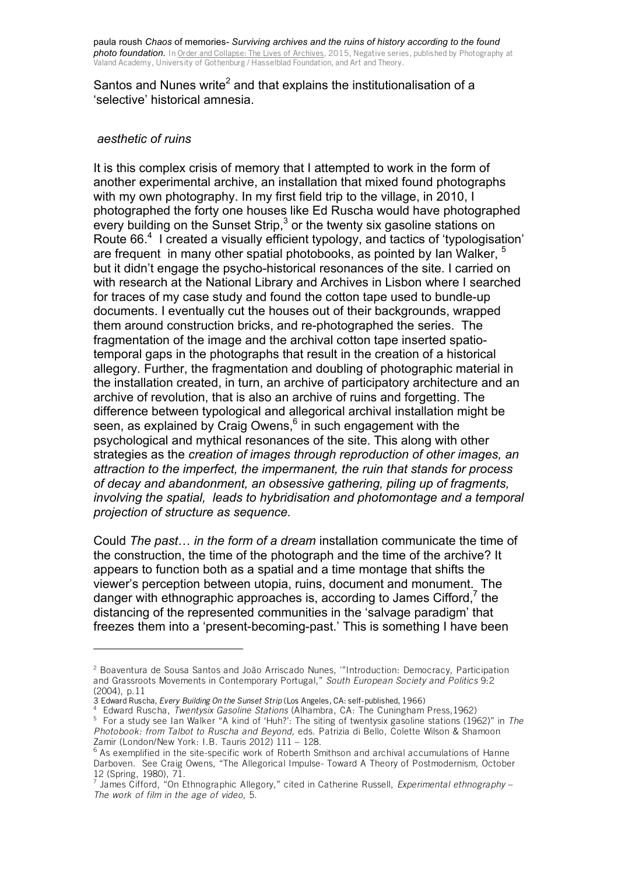Santos and Nunes write<sup>2</sup> and that explains the institutionalisation of a 'selective' historical amnesia.

## *aesthetic of ruins*

It is this complex crisis of memory that I attempted to work in the form of another experimental archive, an installation that mixed found photographs with my own photography. In my first field trip to the village, in 2010, I photographed the forty one houses like Ed Ruscha would have photographed every building on the Sunset Strip, $3$  or the twenty six gasoline stations on Route 66. 4 I created a visually efficient typology, and tactics of 'typologisation' are frequent in many other spatial photobooks, as pointed by Ian Walker, <sup>5</sup> but it didn't engage the psycho-historical resonances of the site. I carried on with research at the National Library and Archives in Lisbon where I searched for traces of my case study and found the cotton tape used to bundle-up documents. I eventually cut the houses out of their backgrounds, wrapped them around construction bricks, and re-photographed the series. The fragmentation of the image and the archival cotton tape inserted spatiotemporal gaps in the photographs that result in the creation of a historical allegory. Further, the fragmentation and doubling of photographic material in the installation created, in turn, an archive of participatory architecture and an archive of revolution, that is also an archive of ruins and forgetting. The difference between typological and allegorical archival installation might be seen, as explained by Craig Owens, $^6$  in such engagement with the psychological and mythical resonances of the site. This along with other strategies as the *creation of images through reproduction of other images, an attraction to the imperfect, the impermanent, the ruin that stands for process of decay and abandonment, an obsessive gathering, piling up of fragments, involving the spatial, leads to hybridisation and photomontage and a temporal projection of structure as sequence.*

Could *The past*… *in the form of a dream* installation communicate the time of the construction, the time of the photograph and the time of the archive? It appears to function both as a spatial and a time montage that shifts the viewer's perception between utopia, ruins, document and monument. The danger with ethnographic approaches is, according to James Cifford,<sup>7</sup> the distancing of the represented communities in the 'salvage paradigm' that freezes them into a 'present-becoming-past.' This is something I have been

<sup>2</sup> Boaventura de Sousa Santos and João Arriscado Nunes, '"Introduction: Democracy, Participation and Grassroots Movements in Contemporary Portugal," *South European Society and Politics* 9:2 (2004), p.11

<sup>3</sup> Edward Ruscha, *Every Building On the Sunset Strip* (Los Angeles, CA: self-published, 1966)

<sup>4</sup> Edward Ruscha, *Twentysix Gasoline Stations* (Alhambra, CA: The Cuningham Press,1962) 5 For a study see Ian Walker "A kind of 'Huh?': The siting of twentysix gasoline stations (1962)" in *The Photobook: from Talbot to Ruscha and Beyond,* eds. Patrizia di Bello, Colette Wilson & Shamoon Zamir (London/New York: I.B. Tauris 2012) 111 – 128.

 $6$  As exemplified in the site-specific work of Roberth Smithson and archival accumulations of Hanne Darboven. See Craig Owens, "The Allegorical Impulse- Toward A Theory of Postmodernism, October 12 (Spring, 1980), 71.

<sup>7</sup> James Cifford, "On Ethnographic Allegory," cited in Catherine Russell, *Experimental ethnography* – *The work of film in the age of video*, 5.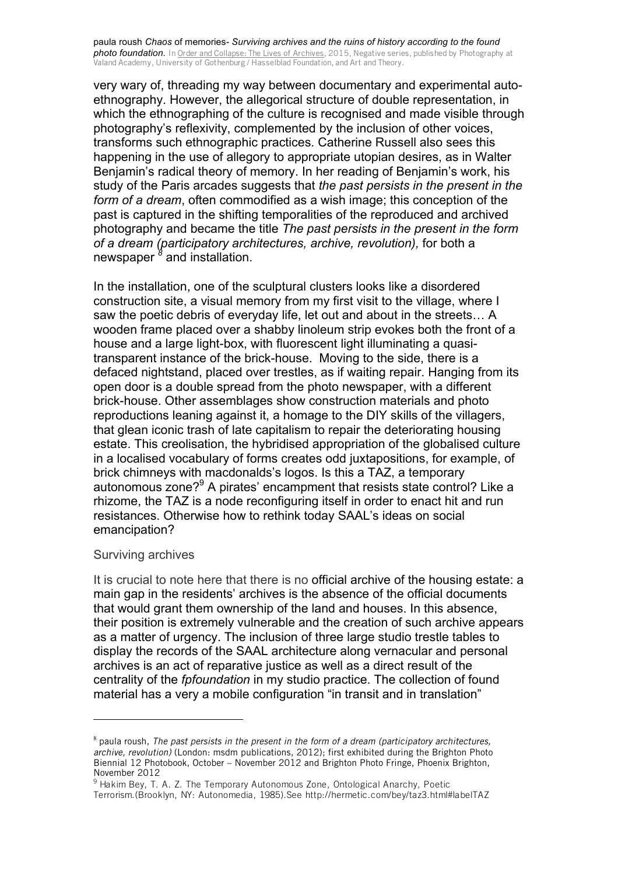paula roush *Chaos* of memories*- Surviving archives and the ruins of history according to the found photo foundation.* In Order and Collapse: The Lives of Archives, 2015, Negative series, published by Photography at Valand Academy, University of Gothenburg / Hasselblad Foundation, and Art and Theory.

very wary of, threading my way between documentary and experimental autoethnography. However, the allegorical structure of double representation, in which the ethnographing of the culture is recognised and made visible through photography's reflexivity, complemented by the inclusion of other voices, transforms such ethnographic practices. Catherine Russell also sees this happening in the use of allegory to appropriate utopian desires, as in Walter Benjamin's radical theory of memory. In her reading of Benjamin's work, his study of the Paris arcades suggests that *the past persists in the present in the form of a dream*, often commodified as a wish image; this conception of the past is captured in the shifting temporalities of the reproduced and archived photography and became the title *The past persists in the present in the form of a dream (participatory architectures, archive, revolution),* for both a newspaper <sup>8</sup> and installation.

In the installation, one of the sculptural clusters looks like a disordered construction site, a visual memory from my first visit to the village, where I saw the poetic debris of everyday life, let out and about in the streets… A wooden frame placed over a shabby linoleum strip evokes both the front of a house and a large light-box, with fluorescent light illuminating a quasitransparent instance of the brick-house. Moving to the side, there is a defaced nightstand, placed over trestles, as if waiting repair. Hanging from its open door is a double spread from the photo newspaper, with a different brick-house. Other assemblages show construction materials and photo reproductions leaning against it, a homage to the DIY skills of the villagers, that glean iconic trash of late capitalism to repair the deteriorating housing estate. This creolisation, the hybridised appropriation of the globalised culture in a localised vocabulary of forms creates odd juxtapositions, for example, of brick chimneys with macdonalds's logos. Is this a TAZ, a temporary autonomous zone? $9^9$  A pirates' encampment that resists state control? Like a rhizome, the TAZ is a node reconfiguring itself in order to enact hit and run resistances. Otherwise how to rethink today SAAL's ideas on social emancipation?

## Surviving archives

 

It is crucial to note here that there is no official archive of the housing estate: a main gap in the residents' archives is the absence of the official documents that would grant them ownership of the land and houses. In this absence, their position is extremely vulnerable and the creation of such archive appears as a matter of urgency. The inclusion of three large studio trestle tables to display the records of the SAAL architecture along vernacular and personal archives is an act of reparative justice as well as a direct result of the centrality of the *fpfoundation* in my studio practice. The collection of found material has a very a mobile configuration "in transit and in translation"

<sup>8</sup> paula roush, *The past persists in the present in the form of a dream (participatory architectures, archive, revolution)* (London: msdm publications, 2012); first exhibited during the Brighton Photo Biennial 12 Photobook, October – November 2012 and Brighton Photo Fringe, Phoenix Brighton, November 2012

<sup>&</sup>lt;sup>9</sup> Hakim Bey, T. A. Z. The Temporary Autonomous Zone, Ontological Anarchy, Poetic Terrorism.(Brooklyn, NY: Autonomedia, 1985).See http://hermetic.com/bey/taz3.html#labelTAZ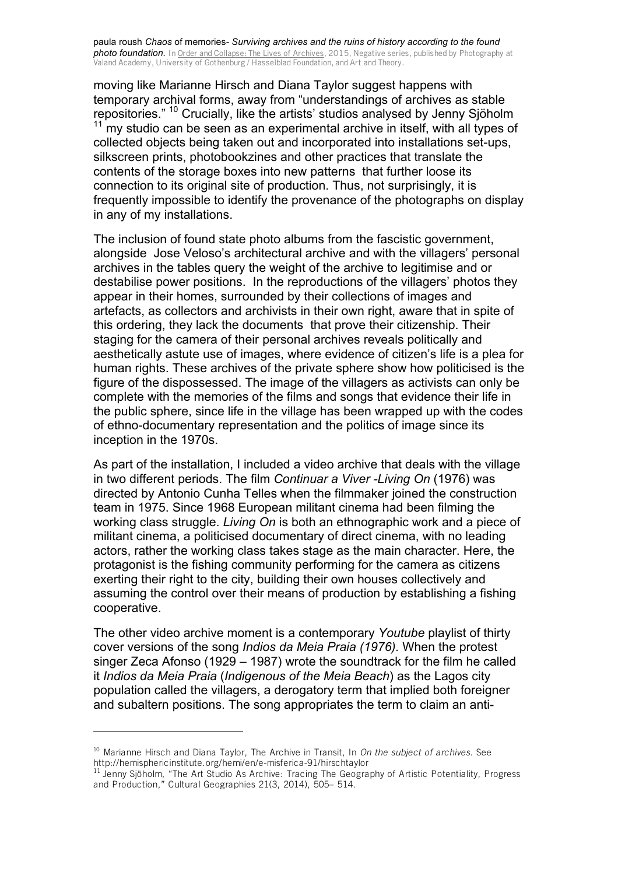paula roush *Chaos* of memories*- Surviving archives and the ruins of history according to the found photo foundation.* In Order and Collapse: The Lives of Archives, 2015, Negative series, published by Photography at Valand Academy, University of Gothenburg / Hasselblad Foundation, and Art and Theory.

moving like Marianne Hirsch and Diana Taylor suggest happens with temporary archival forms, away from "understandings of archives as stable repositories." <sup>10</sup> Crucially, like the artists' studios analysed by Jenny Sjöholm  $11$  my studio can be seen as an experimental archive in itself, with all types of collected objects being taken out and incorporated into installations set-ups, silkscreen prints, photobookzines and other practices that translate the contents of the storage boxes into new patterns that further loose its connection to its original site of production. Thus, not surprisingly, it is frequently impossible to identify the provenance of the photographs on display in any of my installations.

The inclusion of found state photo albums from the fascistic government, alongside Jose Veloso's architectural archive and with the villagers' personal archives in the tables query the weight of the archive to legitimise and or destabilise power positions. In the reproductions of the villagers' photos they appear in their homes, surrounded by their collections of images and artefacts, as collectors and archivists in their own right, aware that in spite of this ordering, they lack the documents that prove their citizenship. Their staging for the camera of their personal archives reveals politically and aesthetically astute use of images, where evidence of citizen's life is a plea for human rights. These archives of the private sphere show how politicised is the figure of the dispossessed. The image of the villagers as activists can only be complete with the memories of the films and songs that evidence their life in the public sphere, since life in the village has been wrapped up with the codes of ethno-documentary representation and the politics of image since its inception in the 1970s.

As part of the installation, I included a video archive that deals with the village in two different periods. The film *Continuar a Viver -Living On* (1976) was directed by Antonio Cunha Telles when the filmmaker joined the construction team in 1975. Since 1968 European militant cinema had been filming the working class struggle. *Living On* is both an ethnographic work and a piece of militant cinema, a politicised documentary of direct cinema, with no leading actors, rather the working class takes stage as the main character. Here, the protagonist is the fishing community performing for the camera as citizens exerting their right to the city, building their own houses collectively and assuming the control over their means of production by establishing a fishing cooperative.

The other video archive moment is a contemporary *Youtube* playlist of thirty cover versions of the song *Indios da Meia Praia (1976).* When the protest singer Zeca Afonso (1929 – 1987) wrote the soundtrack for the film he called it *Indios da Meia Praia* (*Indigenous of the Meia Beach*) as the Lagos city population called the villagers, a derogatory term that implied both foreigner and subaltern positions. The song appropriates the term to claim an anti-

<sup>10</sup> Marianne Hirsch and Diana Taylor, The Archive in Transit, In *On the subject of archives*. See http://hemisphericinstitute.org/hemi/en/e-misferica-91/hirschtaylor

 $^{11}$  Jenny Sjöholm, "The Art Studio As Archive: Tracing The Geography of Artistic Potentiality, Progress and Production," Cultural Geographies 21(3, 2014), 505– 514.